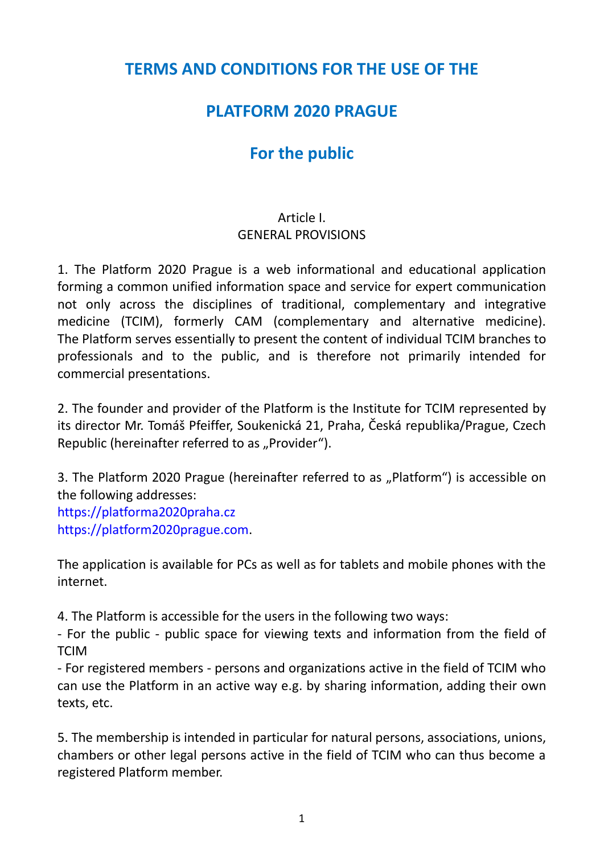### **TERMS AND CONDITIONS FOR THE USE OF THE**

## **PLATFORM 2020 PRAGUE**

# **For the public**

#### Article I. GENERAL PROVISIONS

1. The Platform 2020 Prague is a web informational and educational application forming a common unified information space and service for expert communication not only across the disciplines of traditional, complementary and integrative medicine (TCIM), formerly CAM (complementary and alternative medicine). The Platform serves essentially to present the content of individual TCIM branches to professionals and to the public, and is therefore not primarily intended for commercial presentations.

2. The founder and provider of the Platform is the Institute for TCIM represented by its director Mr. Tomáš Pfeiffer, Soukenická 21, Praha, Česká republika/Prague, Czech Republic (hereinafter referred to as "Provider").

3. The Platform 2020 Prague (hereinafter referred to as "Platform") is accessible on the following addresses: [https://platforma2020praha.cz](https://platforma2020praha.cz/) [https://platform2020prague.com.](https://platform2020prague.com/)

The application is available for PCs as well as for tablets and mobile phones with the internet.

4. The Platform is accessible for the users in the following two ways:

- For the public - public space for viewing texts and information from the field of **TCIM** 

- For registered members - persons and organizations active in the field of TCIM who can use the Platform in an active way e.g. by sharing information, adding their own texts, etc.

5. The membership is intended in particular for natural persons, associations, unions, chambers or other legal persons active in the field of TCIM who can thus become a registered Platform member.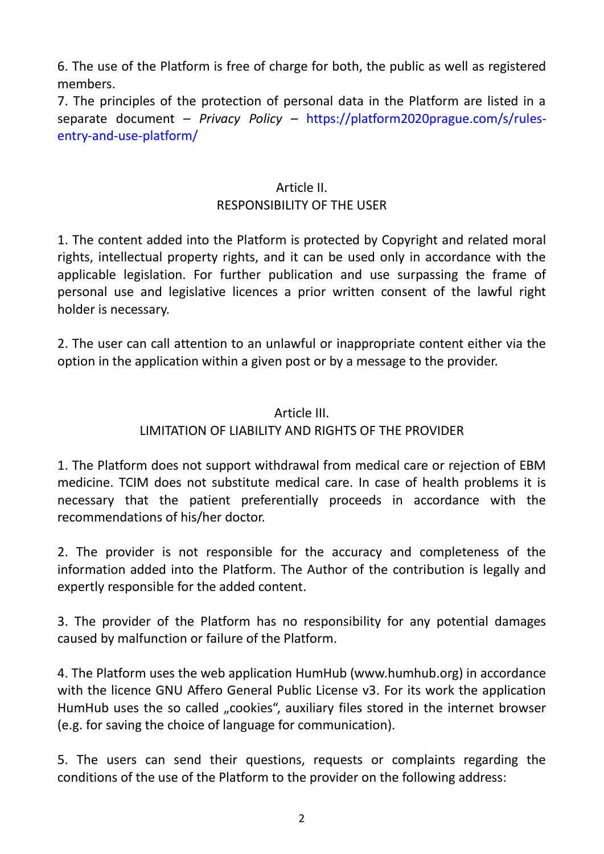6. The use of the Platform is free of charge for both, the public as well as registered members.

7. The principles of the protection of personal data in the Platform are listed in a separate document – *Privacy Policy –* https://platform2020prague.com/s/rulesentry-and-use-platform/

#### Article II. RESPONSIBILITY OF THE USER

1. The content added into the Platform is protected by Copyright and related moral rights, intellectual property rights, and it can be used only in accordance with the applicable legislation. For further publication and use surpassing the frame of personal use and legislative licences a prior written consent of the lawful right holder is necessary.

2. The user can call attention to an unlawful or inappropriate content either via the option in the application within a given post or by a message to the provider.

#### Article III. LIMITATION OF LIABILITY AND RIGHTS OF THE PROVIDER

1. The Platform does not support withdrawal from medical care or rejection of EBM medicine. TCIM does not substitute medical care. In case of health problems it is necessary that the patient preferentially proceeds in accordance with the recommendations of his/her doctor.

2. The provider is not responsible for the accuracy and completeness of the information added into the Platform. The Author of the contribution is legally and expertly responsible for the added content.

3. The provider of the Platform has no responsibility for any potential damages caused by malfunction or failure of the Platform.

4. The Platform uses the web application HumHub (www.humhub.org) in accordance with the licence GNU Affero General Public License v3. For its work the application HumHub uses the so called "cookies", auxiliary files stored in the internet browser (e.g. for saving the choice of language for communication).

5. The users can send their questions, requests or complaints regarding the conditions of the use of the Platform to the provider on the following address: